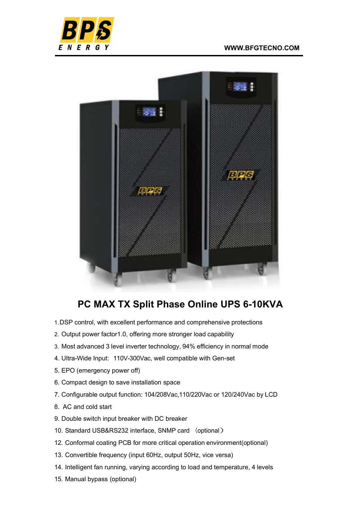



## PC MAX TX Split Phase Online UPS 6-10KVA

- 1. DSP control, with excellent performance and comprehensive protections
- 2. Output power factor1.0, offering more stronger load capability
- 3. Most advanced 3 level inverter technology, 94% efficiency in normal mode
- 4. Ultra-Wide Input: 110V-300Vac, well compatible with Gen-set
- 5. EPO (emergency power off)
- 6. Compact design to save installation space
- 7. Configurable output function: 104/208Vac,110/220Vac or 120/240Vac by LCD
- 8. AC and cold start
- 9. Double switch input breaker with DC breaker
- 10. Standard USB&RS232 interface, SNMP card (optional)
- 12. Conformal coating PCB for more critical operation environment(optional)
- 13. Convertible frequency (input 60Hz, output 50Hz, vice versa)
- 14. Intelligent fan running, varying according to load and temperature, 4 levels
- 15. Manual bypass (optional)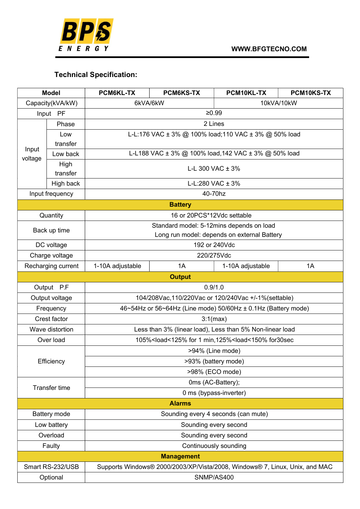

## Technical Specification:

| <b>Model</b>         |           | <b>PCM6KL-TX</b>                                                                  | <b>PCM6KS-TX</b> | PCM10KL-TX       | PCM10KS-TX |  |  |  |
|----------------------|-----------|-----------------------------------------------------------------------------------|------------------|------------------|------------|--|--|--|
| Capacity(kVA/kW)     |           | 10kVA/10kW<br>6kVA/6kW                                                            |                  |                  |            |  |  |  |
| Input PF             |           | ≥0.99                                                                             |                  |                  |            |  |  |  |
|                      | Phase     | 2 Lines                                                                           |                  |                  |            |  |  |  |
| Input<br>voltage     | Low       | L-L:176 VAC ± 3% @ 100% load;110 VAC ± 3% @ 50% load                              |                  |                  |            |  |  |  |
|                      | transfer  |                                                                                   |                  |                  |            |  |  |  |
|                      | Low back  | L-L188 VAC ± 3% @ 100% load, 142 VAC ± 3% @ 50% load                              |                  |                  |            |  |  |  |
|                      | High      | L-L 300 VAC $\pm$ 3%                                                              |                  |                  |            |  |  |  |
|                      | transfer  |                                                                                   |                  |                  |            |  |  |  |
|                      | High back | L-L:280 VAC $\pm$ 3%                                                              |                  |                  |            |  |  |  |
| Input frequency      |           | 40-70hz                                                                           |                  |                  |            |  |  |  |
| <b>Battery</b>       |           |                                                                                   |                  |                  |            |  |  |  |
| Quantity             |           | 16 or 20PCS*12Vdc settable                                                        |                  |                  |            |  |  |  |
| Back up time         |           | Standard model: 5-12mins depends on load                                          |                  |                  |            |  |  |  |
|                      |           | Long run model: depends on external Battery                                       |                  |                  |            |  |  |  |
| DC voltage           |           | 192 or 240Vdc                                                                     |                  |                  |            |  |  |  |
| Charge voltage       |           | 220/275Vdc                                                                        |                  |                  |            |  |  |  |
| Recharging current   |           | 1-10A adjustable                                                                  | 1A               | 1-10A adjustable | 1A         |  |  |  |
|                      |           |                                                                                   | <b>Output</b>    |                  |            |  |  |  |
| Output P.F           |           | 0.9/1.0                                                                           |                  |                  |            |  |  |  |
| Output voltage       |           | 104/208Vac, 110/220Vac or 120/240Vac +/-1% (settable)                             |                  |                  |            |  |  |  |
| Frequency            |           | 46~54Hz or 56~64Hz (Line mode) 50/60Hz ± 0.1Hz (Battery mode)                     |                  |                  |            |  |  |  |
| Crest factor         |           | 3:1(max)                                                                          |                  |                  |            |  |  |  |
| Wave distortion      |           | Less than 3% (linear load), Less than 5% Non-linear load                          |                  |                  |            |  |  |  |
| Over load            |           | 105% <load<125% 1="" for="" for30sec<="" min,125%<load<150%="" td=""></load<125%> |                  |                  |            |  |  |  |
| Efficiency           |           | >94% (Line mode)                                                                  |                  |                  |            |  |  |  |
|                      |           | >93% (battery mode)                                                               |                  |                  |            |  |  |  |
|                      |           | >98% (ECO mode)                                                                   |                  |                  |            |  |  |  |
| <b>Transfer time</b> |           | 0ms (AC-Battery);                                                                 |                  |                  |            |  |  |  |
|                      |           | 0 ms (bypass-inverter)                                                            |                  |                  |            |  |  |  |
|                      |           |                                                                                   | <b>Alarms</b>    |                  |            |  |  |  |
| Battery mode         |           | Sounding every 4 seconds (can mute)                                               |                  |                  |            |  |  |  |
| Low battery          |           | Sounding every second                                                             |                  |                  |            |  |  |  |
| Overload             |           | Sounding every second                                                             |                  |                  |            |  |  |  |
| Faulty               |           | Continuously sounding                                                             |                  |                  |            |  |  |  |
| <b>Management</b>    |           |                                                                                   |                  |                  |            |  |  |  |
| Smart RS-232/USB     |           | Supports Windows® 2000/2003/XP/Vista/2008, Windows® 7, Linux, Unix, and MAC       |                  |                  |            |  |  |  |
| Optional             |           | SNMP/AS400                                                                        |                  |                  |            |  |  |  |